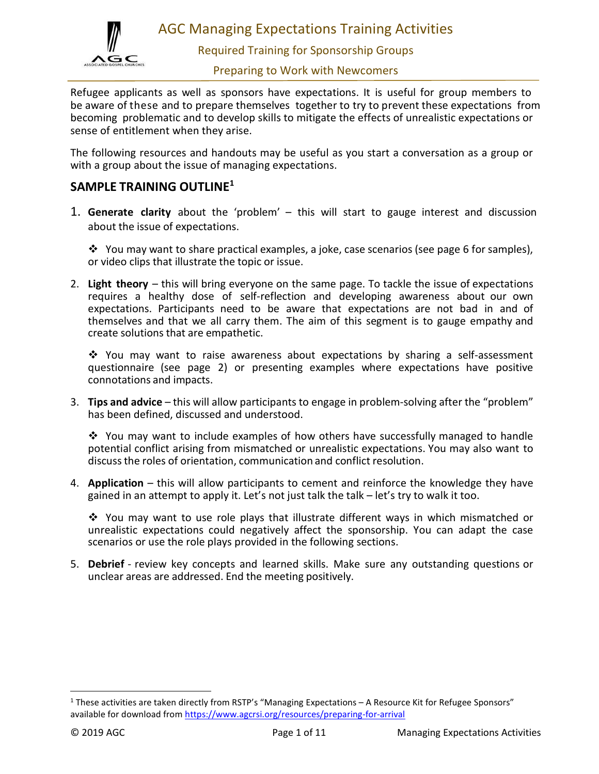

AGC Managing Expectations Training Activities

Required Training for Sponsorship Groups

Preparing to Work with Newcomers

Refugee applicants as well as sponsors have expectations. It is useful for group members to be aware of these and to prepare themselves together to try to prevent these expectations from becoming problematic and to develop skills to mitigate the effects of unrealistic expectations or sense of entitlement when they arise.

The following resources and handouts may be useful as you start a conversation as a group or with a group about the issue of managing expectations.

# SAMPLE TRAINING OUTLINE<sup>1</sup>

1. Generate clarity about the 'problem' – this will start to gauge interest and discussion about the issue of expectations.

 $\cdot \cdot$  You may want to share practical examples, a joke, case scenarios (see page 6 for samples), or video clips that illustrate the topic or issue.

2. Light theory  $-$  this will bring everyone on the same page. To tackle the issue of expectations requires a healthy dose of self-reflection and developing awareness about our own expectations. Participants need to be aware that expectations are not bad in and of themselves and that we all carry them. The aim of this segment is to gauge empathy and create solutions that are empathetic.

\* You may want to raise awareness about expectations by sharing a self-assessment questionnaire (see page 2) or presenting examples where expectations have positive connotations and impacts.

3. Tips and advice – this will allow participants to engage in problem-solving after the "problem" has been defined, discussed and understood.

You may want to include examples of how others have successfully managed to handle potential conflict arising from mismatched or unrealistic expectations. You may also want to discuss the roles of orientation, communication and conflict resolution.

4. Application – this will allow participants to cement and reinforce the knowledge they have gained in an attempt to apply it. Let's not just talk the talk – let's try to walk it too.

You may want to use role plays that illustrate different ways in which mismatched or unrealistic expectations could negatively affect the sponsorship. You can adapt the case scenarios or use the role plays provided in the following sections.

5. Debrief - review key concepts and learned skills. Make sure any outstanding questions or unclear areas are addressed. End the meeting positively.

<sup>&</sup>lt;sup>1</sup> These activities are taken directly from RSTP's "Managing Expectations – A Resource Kit for Refugee Sponsors" available for download from https://www.agcrsi.org/resources/preparing-for-arrival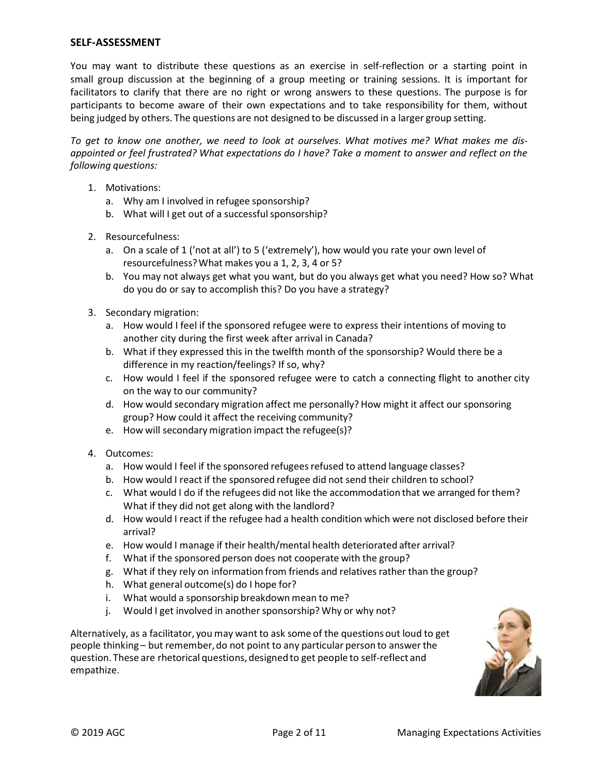# SELF-ASSESSMENT

You may want to distribute these questions as an exercise in self-reflection or a starting point in small group discussion at the beginning of a group meeting or training sessions. It is important for facilitators to clarify that there are no right or wrong answers to these questions. The purpose is for participants to become aware of their own expectations and to take responsibility for them, without being judged by others. The questions are not designed to be discussed in a larger group setting.

To get to know one another, we need to look at ourselves. What motives me? What makes me disappointed or feel frustrated? What expectations do I have? Take a moment to answer and reflect on the following questions:

- 1. Motivations:
	- a. Why am I involved in refugee sponsorship?
	- b. What will I get out of a successful sponsorship?
- 2. Resourcefulness:
	- a. On a scale of 1 ('not at all') to 5 ('extremely'), how would you rate your own level of resourcefulness? What makes you a 1, 2, 3, 4 or 5?
	- b. You may not always get what you want, but do you always get what you need? How so? What do you do or say to accomplish this? Do you have a strategy?
- 3. Secondary migration:
	- a. How would I feel if the sponsored refugee were to express their intentions of moving to another city during the first week after arrival in Canada?
	- b. What if they expressed this in the twelfth month of the sponsorship? Would there be a difference in my reaction/feelings? If so, why?
	- c. How would I feel if the sponsored refugee were to catch a connecting flight to another city on the way to our community?
	- d. How would secondary migration affect me personally? How might it affect our sponsoring group? How could it affect the receiving community?
	- e. How will secondary migration impact the refugee(s)?
- 4. Outcomes:
	- a. How would I feel if the sponsored refugees refused to attend language classes?
	- b. How would I react if the sponsored refugee did not send their children to school?
	- c. What would I do if the refugees did not like the accommodation that we arranged for them? What if they did not get along with the landlord?
	- d. How would I react if the refugee had a health condition which were not disclosed before their arrival?
	- e. How would I manage if their health/mental health deteriorated after arrival?
	- f. What if the sponsored person does not cooperate with the group?
	- g. What if they rely on information from friends and relatives rather than the group?
	- h. What general outcome(s) do I hope for?
	- i. What would a sponsorship breakdown mean to me?
	- j. Would I get involved in another sponsorship? Why or why not?

Alternatively, as a facilitator, you may want to ask some of the questions out loud to get people thinking – but remember, do not point to any particular person to answer the question. These are rhetorical questions, designed to get people to self-reflect and empathize.

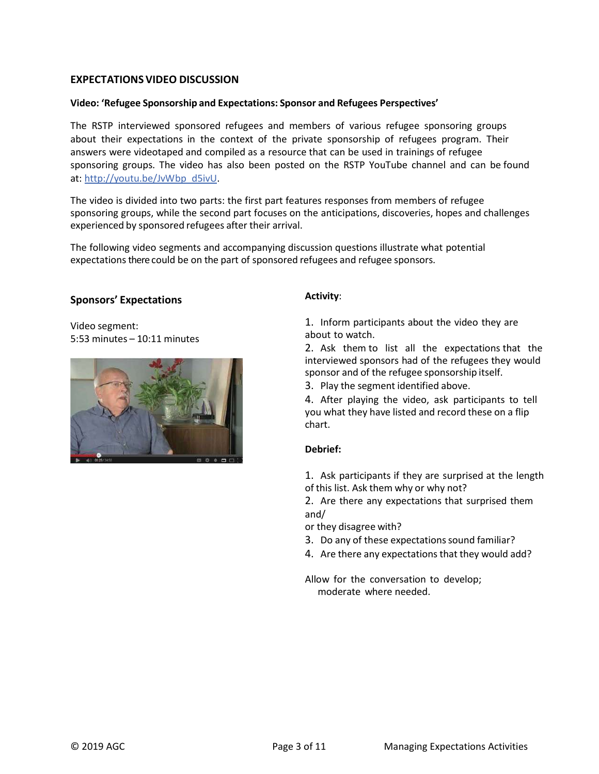# EXPECTATIONS VIDEO DISCUSSION

### Video: 'Refugee Sponsorship and Expectations: Sponsor and Refugees Perspectives'

The RSTP interviewed sponsored refugees and members of various refugee sponsoring groups about their expectations in the context of the private sponsorship of refugees program. Their answers were videotaped and compiled as a resource that can be used in trainings of refugee sponsoring groups. The video has also been posted on the RSTP YouTube channel and can be found at: http://youtu.be/JvWbp\_d5ivU.

The video is divided into two parts: the first part features responses from members of refugee sponsoring groups, while the second part focuses on the anticipations, discoveries, hopes and challenges experienced by sponsored refugees after their arrival.

The following video segments and accompanying discussion questions illustrate what potential expectations there could be on the part of sponsored refugees and refugee sponsors.

### Sponsors' Expectations

Video segment: 5:53 minutes – 10:11 minutes



# Activity:

1. Inform participants about the video they are about to watch.

2. Ask them to list all the expectations that the interviewed sponsors had of the refugees they would sponsor and of the refugee sponsorship itself.

3. Play the segment identified above.

4. After playing the video, ask participants to tell you what they have listed and record these on a flip chart.

# Debrief:

1. Ask participants if they are surprised at the length of this list. Ask them why or why not?

2. Are there any expectations that surprised them and/

or they disagree with?

- 3. Do any of these expectations sound familiar?
- 4. Are there any expectations that they would add?

Allow for the conversation to develop; moderate where needed.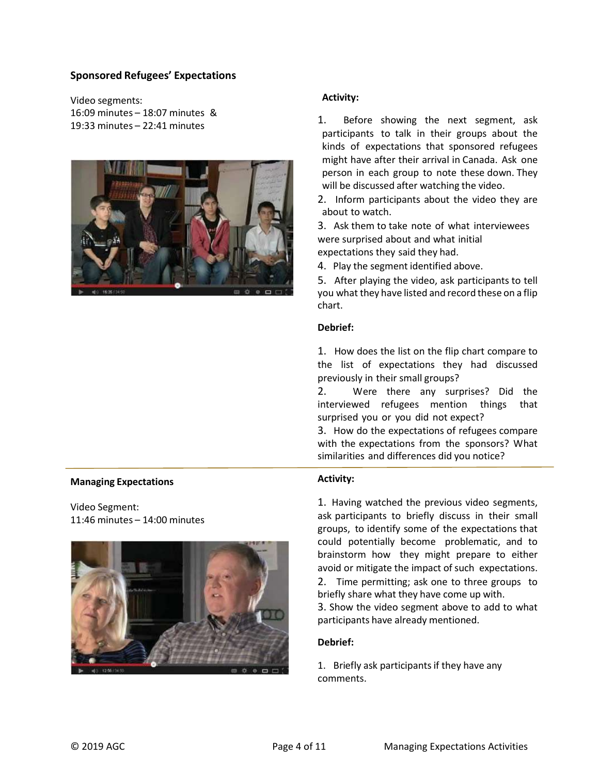# Sponsored Refugees' Expectations

Video segments: 16:09 minutes – 18:07 minutes & 19:33 minutes – 22:41 minutes



# Activity:

1. Before showing the next segment, ask participants to talk in their groups about the kinds of expectations that sponsored refugees might have after their arrival in Canada. Ask one person in each group to note these down. They will be discussed after watching the video.

2. Inform participants about the video they are about to watch.

3. Ask them to take note of what interviewees were surprised about and what initial expectations they said they had.

4. Play the segment identified above.

5. After playing the video, ask participants to tell you what they have listed and record these on a flip chart.

#### Debrief:

1. How does the list on the flip chart compare to the list of expectations they had discussed previously in their small groups?

2. Were there any surprises? Did the interviewed refugees mention things that surprised you or you did not expect?

3. How do the expectations of refugees compare with the expectations from the sponsors? What similarities and differences did you notice?

# Activity:

1. Having watched the previous video segments, ask participants to briefly discuss in their small groups, to identify some of the expectations that could potentially become problematic, and to brainstorm how they might prepare to either avoid or mitigate the impact of such expectations.

2. Time permitting; ask one to three groups to briefly share what they have come up with.

3. Show the video segment above to add to what participants have already mentioned.

#### Debrief:

1. Briefly ask participants if they have any comments.

#### Managing Expectations

Video Segment: 11:46 minutes – 14:00 minutes

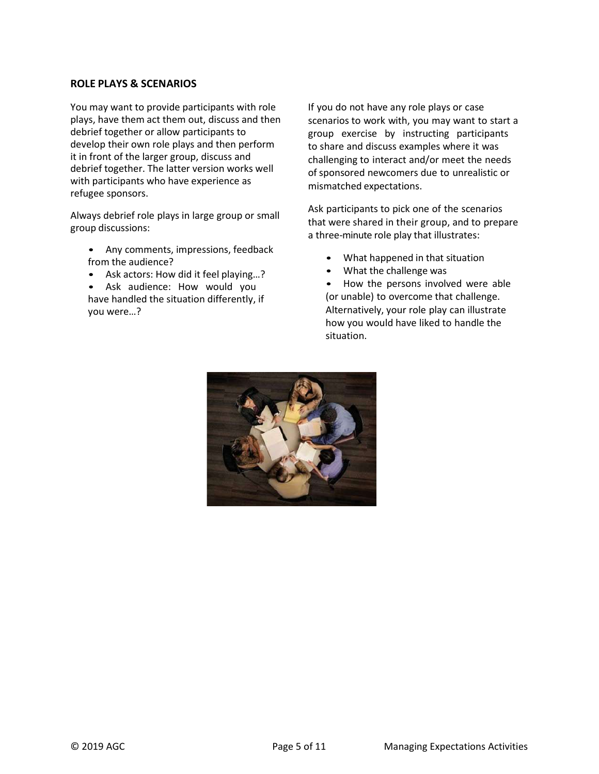# ROLE PLAYS & SCENARIOS

You may want to provide participants with role plays, have them act them out, discuss and then debrief together or allow participants to develop their own role plays and then perform it in front of the larger group, discuss and debrief together. The latter version works well with participants who have experience as refugee sponsors.

Always debrief role plays in large group or small group discussions:

- Any comments, impressions, feedback from the audience?
- Ask actors: How did it feel playing…? Ask audience: How would you
- have handled the situation differently, if you were…?

If you do not have any role plays or case scenarios to work with, you may want to start a group exercise by instructing participants to share and discuss examples where it was challenging to interact and/or meet the needs of sponsored newcomers due to unrealistic or mismatched expectations.

Ask participants to pick one of the scenarios that were shared in their group, and to prepare a three-minute role play that illustrates:

- What happened in that situation
- What the challenge was

• How the persons involved were able (or unable) to overcome that challenge. Alternatively, your role play can illustrate how you would have liked to handle the situation.

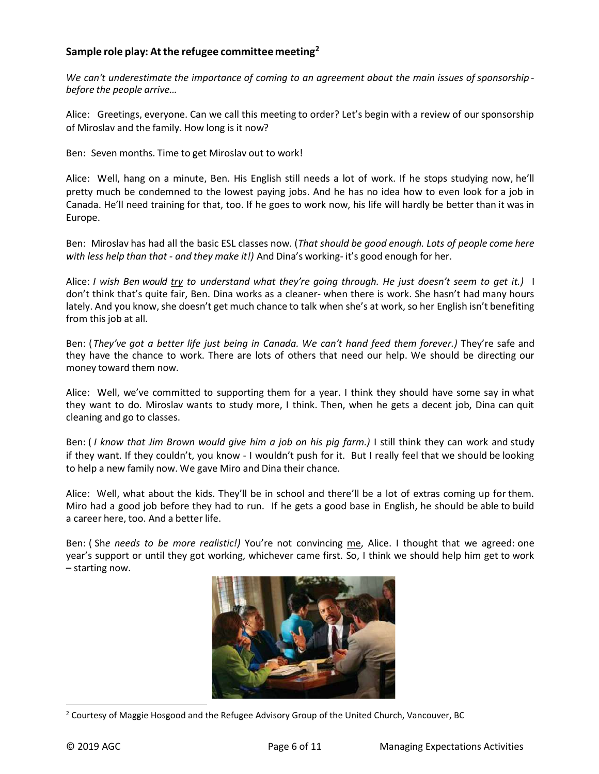# Sample role play: At the refugee committee meeting<sup>2</sup>

We can't underestimate the importance of coming to an agreement about the main issues of sponsorship before the people arrive…

Alice: Greetings, everyone. Can we call this meeting to order? Let's begin with a review of our sponsorship of Miroslav and the family. How long is it now?

Ben: Seven months. Time to get Miroslav out to work!

Alice: Well, hang on a minute, Ben. His English still needs a lot of work. If he stops studying now, he'll pretty much be condemned to the lowest paying jobs. And he has no idea how to even look for a job in Canada. He'll need training for that, too. If he goes to work now, his life will hardly be better than it was in Europe.

Ben: Miroslav has had all the basic ESL classes now. (That should be good enough. Lots of people come here with less help than that - and they make it!) And Dina's working- it's good enough for her.

Alice: I wish Ben would try to understand what they're going through. He just doesn't seem to get it.) I don't think that's quite fair, Ben. Dina works as a cleaner- when there is work. She hasn't had many hours lately. And you know, she doesn't get much chance to talk when she's at work, so her English isn't benefiting from this job at all.

Ben: (They've got a better life just being in Canada. We can't hand feed them forever.) They're safe and they have the chance to work. There are lots of others that need our help. We should be directing our money toward them now.

Alice: Well, we've committed to supporting them for a year. I think they should have some say in what they want to do. Miroslav wants to study more, I think. Then, when he gets a decent job, Dina can quit cleaning and go to classes.

Ben: (I know that Jim Brown would give him a job on his pig farm.) I still think they can work and study if they want. If they couldn't, you know - I wouldn't push for it. But I really feel that we should be looking to help a new family now. We gave Miro and Dina their chance.

Alice: Well, what about the kids. They'll be in school and there'll be a lot of extras coming up for them. Miro had a good job before they had to run. If he gets a good base in English, he should be able to build a career here, too. And a better life.

Ben: ( She needs to be more realistic!) You're not convincing me, Alice. I thought that we agreed: one year's support or until they got working, whichever came first. So, I think we should help him get to work – starting now.



<sup>&</sup>lt;sup>2</sup> Courtesy of Maggie Hosgood and the Refugee Advisory Group of the United Church, Vancouver, BC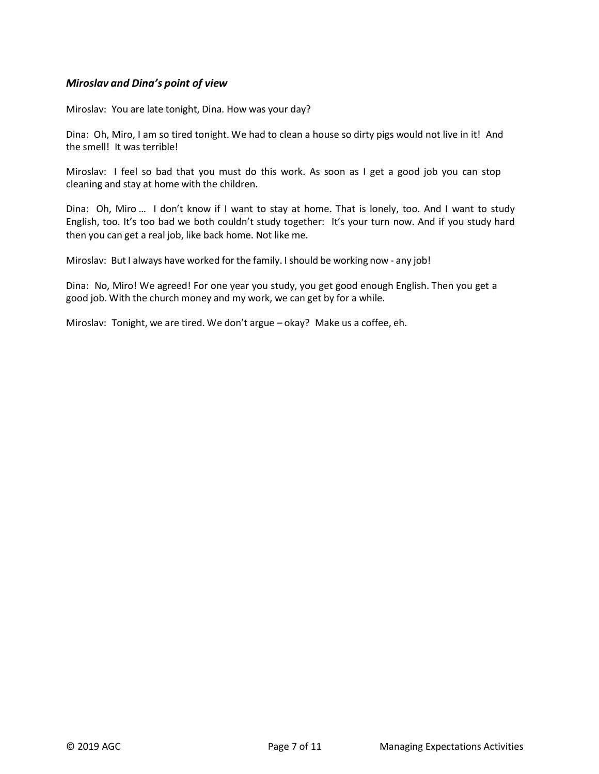# Miroslav and Dina's point of view

Miroslav: You are late tonight, Dina. How was your day?

Dina: Oh, Miro, I am so tired tonight. We had to clean a house so dirty pigs would not live in it! And the smell! It was terrible!

Miroslav: I feel so bad that you must do this work. As soon as I get a good job you can stop cleaning and stay at home with the children.

Dina: Oh, Miro … I don't know if I want to stay at home. That is lonely, too. And I want to study English, too. It's too bad we both couldn't study together: It's your turn now. And if you study hard then you can get a real job, like back home. Not like me.

Miroslav: But I always have worked for the family. I should be working now - any job!

Dina: No, Miro! We agreed! For one year you study, you get good enough English. Then you get a good job. With the church money and my work, we can get by for a while.

Miroslav: Tonight, we are tired. We don't argue – okay? Make us a coffee, eh.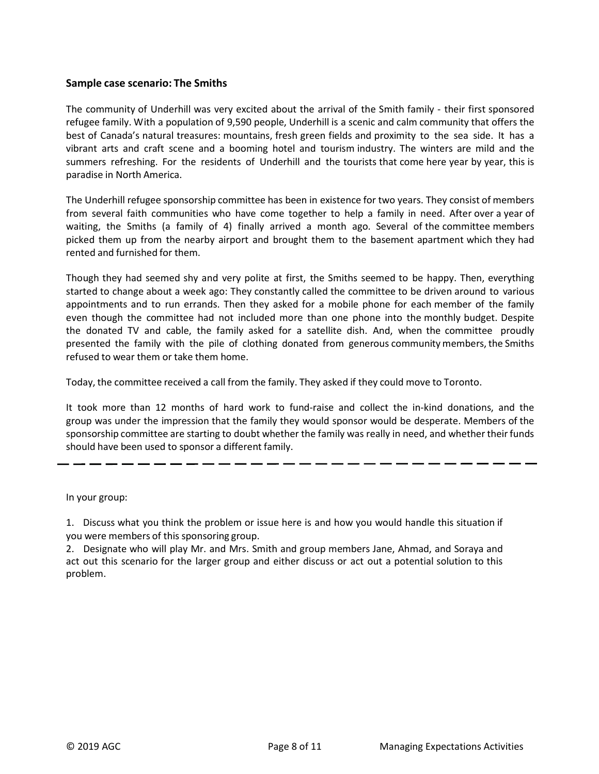# Sample case scenario: The Smiths

The community of Underhill was very excited about the arrival of the Smith family - their first sponsored refugee family. With a population of 9,590 people, Underhill is a scenic and calm community that offers the best of Canada's natural treasures: mountains, fresh green fields and proximity to the sea side. It has a vibrant arts and craft scene and a booming hotel and tourism industry. The winters are mild and the summers refreshing. For the residents of Underhill and the tourists that come here year by year, this is paradise in North America.

The Underhill refugee sponsorship committee has been in existence for two years. They consist of members from several faith communities who have come together to help a family in need. After over a year of waiting, the Smiths (a family of 4) finally arrived a month ago. Several of the committee members picked them up from the nearby airport and brought them to the basement apartment which they had rented and furnished for them.

Though they had seemed shy and very polite at first, the Smiths seemed to be happy. Then, everything started to change about a week ago: They constantly called the committee to be driven around to various appointments and to run errands. Then they asked for a mobile phone for each member of the family even though the committee had not included more than one phone into the monthly budget. Despite the donated TV and cable, the family asked for a satellite dish. And, when the committee proudly presented the family with the pile of clothing donated from generous community members, the Smiths refused to wear them or take them home.

Today, the committee received a call from the family. They asked if they could move to Toronto.

It took more than 12 months of hard work to fund-raise and collect the in-kind donations, and the group was under the impression that the family they would sponsor would be desperate. Members of the sponsorship committee are starting to doubt whether the family was really in need, and whether their funds should have been used to sponsor a different family.

In your group:

1. Discuss what you think the problem or issue here is and how you would handle this situation if you were members of this sponsoring group.

2. Designate who will play Mr. and Mrs. Smith and group members Jane, Ahmad, and Soraya and act out this scenario for the larger group and either discuss or act out a potential solution to this problem.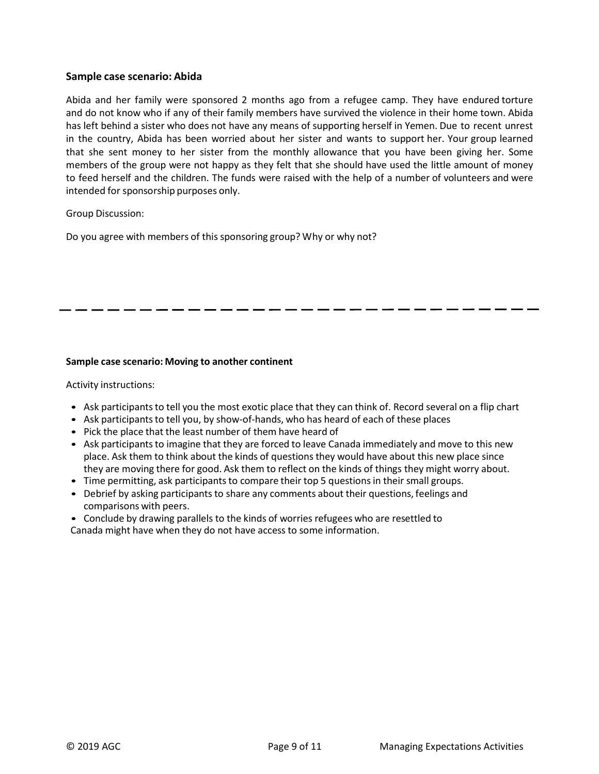## Sample case scenario: Abida

Abida and her family were sponsored 2 months ago from a refugee camp. They have endured torture and do not know who if any of their family members have survived the violence in their home town. Abida has left behind a sister who does not have any means of supporting herself in Yemen. Due to recent unrest in the country, Abida has been worried about her sister and wants to support her. Your group learned that she sent money to her sister from the monthly allowance that you have been giving her. Some members of the group were not happy as they felt that she should have used the little amount of money to feed herself and the children. The funds were raised with the help of a number of volunteers and were intended for sponsorship purposes only.

#### Group Discussion:

Do you agree with members of this sponsoring group? Why or why not?

### Sample case scenario: Moving to another continent

Activity instructions:

- 
- 
- 
- Ask participants to tell you the most exotic place that they can think of. Record several on a flip chart<br>• Ask participants to tell you, by show-of-hands, who has heard of each of these places<br>• Pick the place that the place. Ask them to think about the kinds of questions they would have about this new place since they are moving there for good. Ask them to reflect on the kinds of things they might worry about.
- Time permitting, ask participants to compare their top 5 questions in their small groups.
- Debrief by asking participants to share any comments about their questions, feelings and comparisons with peers.

• Conclude by drawing parallels to the kinds of worries refugees who are resettled to Canada might have when they do not have access to some information.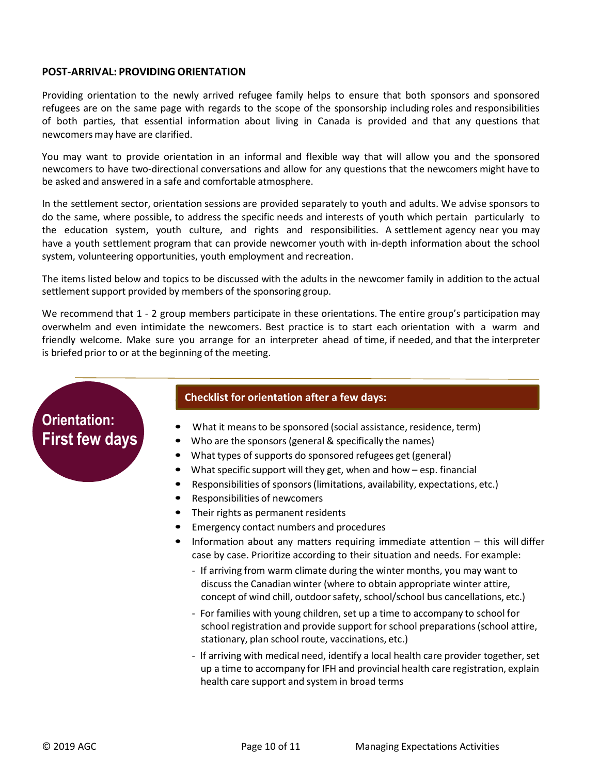# POST-ARRIVAL: PROVIDING ORIENTATION

Providing orientation to the newly arrived refugee family helps to ensure that both sponsors and sponsored refugees are on the same page with regards to the scope of the sponsorship including roles and responsibilities of both parties, that essential information about living in Canada is provided and that any questions that newcomers may have are clarified.

You may want to provide orientation in an informal and flexible way that will allow you and the sponsored newcomers to have two-directional conversations and allow for any questions that the newcomers might have to be asked and answered in a safe and comfortable atmosphere.

In the settlement sector, orientation sessions are provided separately to youth and adults. We advise sponsors to do the same, where possible, to address the specific needs and interests of youth which pertain particularly to the education system, youth culture, and rights and responsibilities. A settlement agency near you may have a youth settlement program that can provide newcomer youth with in-depth information about the school system, volunteering opportunities, youth employment and recreation.

The items listed below and topics to be discussed with the adults in the newcomer family in addition to the actual settlement support provided by members of the sponsoring group.

We recommend that 1 - 2 group members participate in these orientations. The entire group's participation may overwhelm and even intimidate the newcomers. Best practice is to start each orientation with a warm and friendly welcome. Make sure you arrange for an interpreter ahead of time, if needed, and that the interpreter is briefed prior to or at the beginning of the meeting.

# Orientation: First few days

# **Checklist for orientation after a few days:**

- 
- 
- 
- 
- 
- 
- 
- 
- What it means to be sponsored (social assistance, residence, term)<br>
Who are the sponsors (general & specifically the names)<br>
What types of supports do sponsored refugees get (general)<br>
What specific support will th case by case. Prioritize according to their situation and needs. For example:
	- If arriving from warm climate during the winter months, you may want to discuss the Canadian winter (where to obtain appropriate winter attire, concept of wind chill, outdoor safety, school/school bus cancellations, etc.)
	- For families with young children, set up a time to accompany to school for school registration and provide support for school preparations (school attire, stationary, plan school route, vaccinations, etc.)
	- If arriving with medical need, identify a local health care provider together, set up a time to accompany for IFH and provincial health care registration, explain health care support and system in broad terms